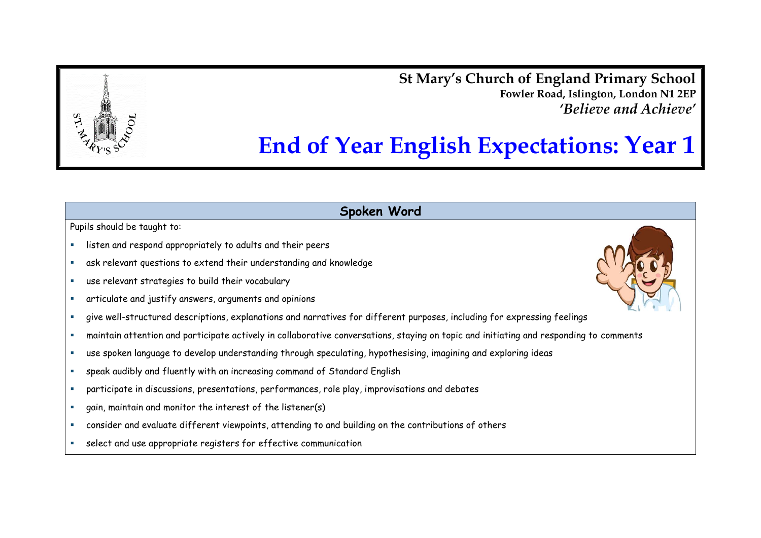**St Mary's Church of England Primary School Fowler Road, Islington, London N1 2EP** *'Believe and Achieve'*

# **End of Year English Expectations: Year 1**

#### **Spoken Word**

- listen and respond appropriately to adults and their peers
- ask relevant questions to extend their understanding and knowledge
- use relevant strategies to build their vocabulary
- articulate and justify answers, arguments and opinions
- give well-structured descriptions, explanations and narratives for different purposes, including for expressing feelings
- maintain attention and participate actively in collaborative conversations, staying on topic and initiating and responding to comments
- use spoken language to develop understanding through speculating, hypothesising, imagining and exploring ideas
- speak audibly and fluently with an increasing command of Standard English
- participate in discussions, presentations, performances, role play, improvisations and debates
- gain, maintain and monitor the interest of the listener(s)
- consider and evaluate different viewpoints, attending to and building on the contributions of others
- select and use appropriate registers for effective communication

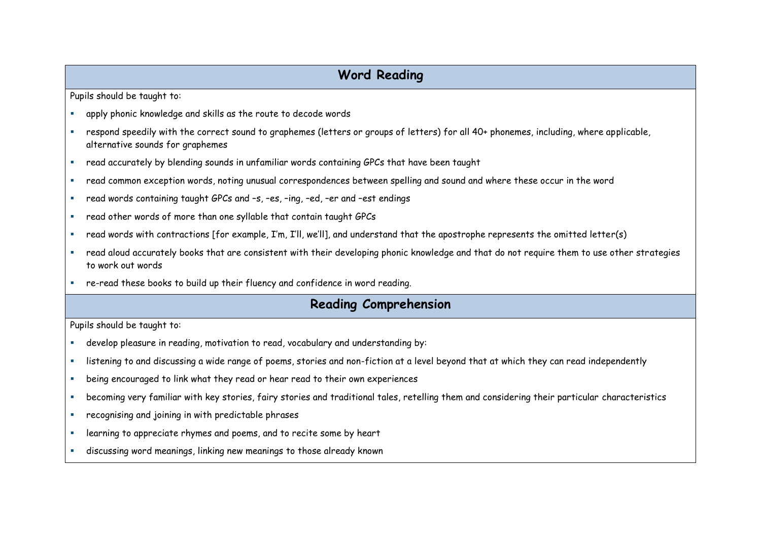### **Word Reading**

Pupils should be taught to:

- apply phonic knowledge and skills as the route to decode words
- respond speedily with the correct sound to graphemes (letters or groups of letters) for all 40+ phonemes, including, where applicable, alternative sounds for graphemes
- read accurately by blending sounds in unfamiliar words containing GPCs that have been taught
- read common exception words, noting unusual correspondences between spelling and sound and where these occur in the word
- read words containing taught GPCs and –s, –es, –ing, –ed, –er and –est endings
- read other words of more than one syllable that contain taught GPCs
- read words with contractions [for example, I'm, I'll, we'll], and understand that the apostrophe represents the omitted letter(s)
- read aloud accurately books that are consistent with their developing phonic knowledge and that do not require them to use other strategies to work out words
- re-read these books to build up their fluency and confidence in word reading.

#### **Reading Comprehension**

- develop pleasure in reading, motivation to read, vocabulary and understanding by:
- listening to and discussing a wide range of poems, stories and non-fiction at a level beyond that at which they can read independently
- being encouraged to link what they read or hear read to their own experiences
- becoming very familiar with key stories, fairy stories and traditional tales, retelling them and considering their particular characteristics
- recognising and joining in with predictable phrases
- **EXEDERITH Learning to appreciate rhymes and poems, and to recite some by heart**
- discussing word meanings, linking new meanings to those already known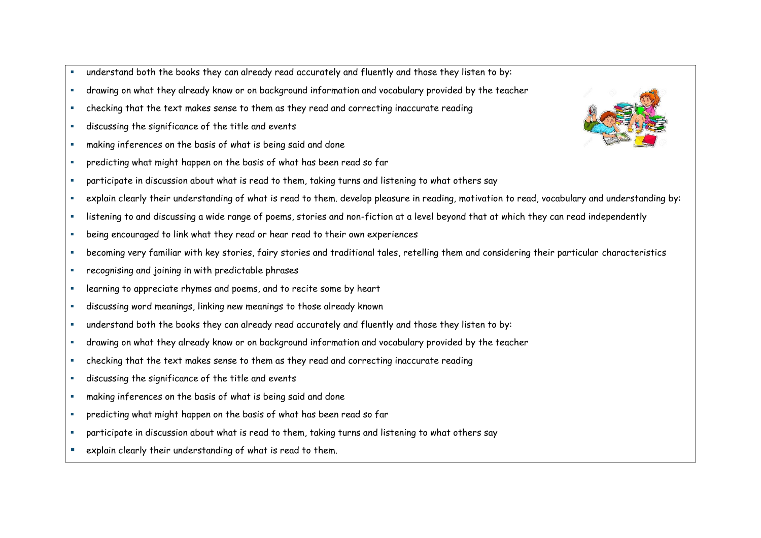- understand both the books they can already read accurately and fluently and those they listen to by:
- drawing on what they already know or on background information and vocabulary provided by the teacher
- checking that the text makes sense to them as they read and correcting inaccurate reading
- discussing the significance of the title and events
- making inferences on the basis of what is being said and done
- predicting what might happen on the basis of what has been read so far
- participate in discussion about what is read to them, taking turns and listening to what others say
- explain clearly their understanding of what is read to them. develop pleasure in reading, motivation to read, vocabulary and understanding by:
- listening to and discussing a wide range of poems, stories and non-fiction at a level beyond that at which they can read independently
- being encouraged to link what they read or hear read to their own experiences
- becoming very familiar with key stories, fairy stories and traditional tales, retelling them and considering their particular characteristics
- recognising and joining in with predictable phrases
- learning to appreciate rhymes and poems, and to recite some by heart
- discussing word meanings, linking new meanings to those already known
- understand both the books they can already read accurately and fluently and those they listen to by:
- drawing on what they already know or on background information and vocabulary provided by the teacher
- checking that the text makes sense to them as they read and correcting inaccurate reading
- discussing the significance of the title and events
- making inferences on the basis of what is being said and done
- predicting what might happen on the basis of what has been read so far
- participate in discussion about what is read to them, taking turns and listening to what others say
- **E** explain clearly their understanding of what is read to them.

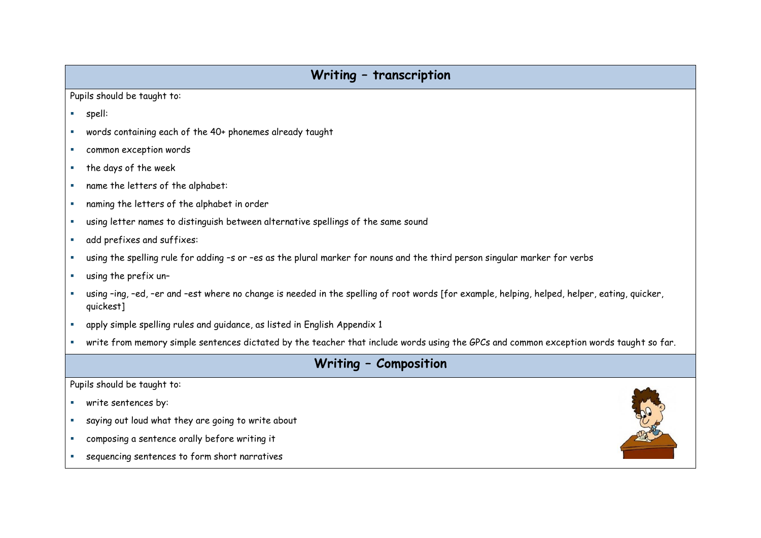#### **Writing – transcription**

Pupils should be taught to:

- spell:
- words containing each of the 40+ phonemes already taught
- common exception words
- $\blacksquare$  the days of the week
- name the letters of the alphabet:
- naming the letters of the alphabet in order
- using letter names to distinguish between alternative spellings of the same sound
- add prefixes and suffixes:
- using the spelling rule for adding –s or –es as the plural marker for nouns and the third person singular marker for verbs
- using the prefix un-
- using –ing, –ed, –er and –est where no change is needed in the spelling of root words [for example, helping, helped, helper, eating, quicker, quickest]
- apply simple spelling rules and guidance, as listed in English Appendix 1
- write from memory simple sentences dictated by the teacher that include words using the GPCs and common exception words taught so far.

## **Writing – Composition**

- **write sentences by:**
- saying out loud what they are going to write about
- composing a sentence orally before writing it
- sequencing sentences to form short narratives

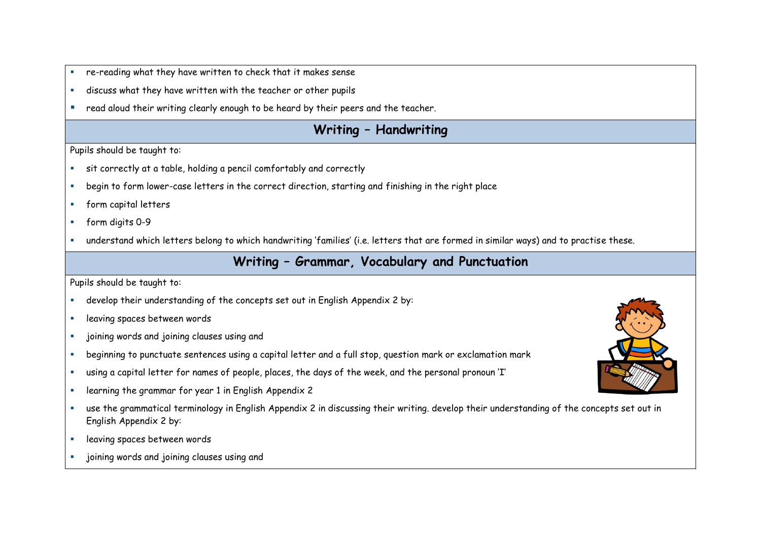- re-reading what they have written to check that it makes sense
- discuss what they have written with the teacher or other pupils
- **F** read aloud their writing clearly enough to be heard by their peers and the teacher.

## **Writing – Handwriting**

Pupils should be taught to:

- sit correctly at a table, holding a pencil comfortably and correctly
- begin to form lower-case letters in the correct direction, starting and finishing in the right place
- **form capital letters**
- form digits 0-9
- understand which letters belong to which handwriting 'families' (i.e. letters that are formed in similar ways) and to practise these.

#### **Writing – Grammar, Vocabulary and Punctuation**

- develop their understanding of the concepts set out in English Appendix 2 by:
- **Example 20 Figure 3 Proces between words**
- joining words and joining clauses using and
- beginning to punctuate sentences using a capital letter and a full stop, question mark or exclamation mark
- using a capital letter for names of people, places, the days of the week, and the personal pronoun 'I'
- **Example 2** learning the grammar for year 1 in English Appendix 2
- use the grammatical terminology in English Appendix 2 in discussing their writing. develop their understanding of the concepts set out in English Appendix 2 by:
- leaving spaces between words
- joining words and joining clauses using and